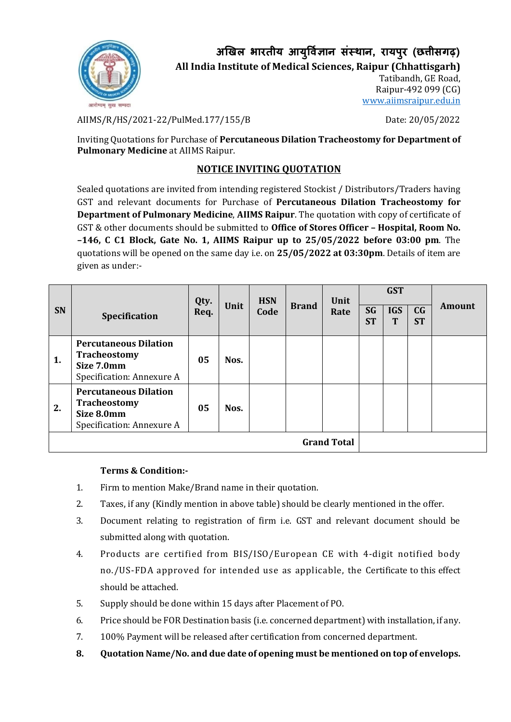

**अखिल भारतीय आय ु र्वज्ञि ान संस्थान, रायप ुर (छत्तीसगढ़)**

**All India Institute of Medical Sciences, Raipur (Chhattisgarh)**

Tatibandh, GE Road, Raipur-492 099 (CG) [www.aiimsraipur.edu.in](http://www.aiimsraipur.edu.in/)

AIIMS/R/HS/2021-22/PulMed.177/155/B Date: 20/05/2022

Inviting Quotations for Purchase of **Percutaneous Dilation Tracheostomy for Department of Pulmonary Medicine** at AIIMS Raipur.

## **NOTICE INVITING QUOTATION**

Sealed quotations are invited from intending registered Stockist / Distributors/Traders having GST and relevant documents for Purchase of **Percutaneous Dilation Tracheostomy for Department of Pulmonary Medicine**, **AIIMS Raipur**. The quotation with copy of certificate of GST & other documents should be submitted to **Office of Stores Officer – Hospital, Room No. –146, C C1 Block, Gate No. 1, AIIMS Raipur up to 25/05/2022 before 03:00 pm**. The quotations will be opened on the same day i.e. on **25/05/2022 at 03:30pm**. Details of item are given as under:-

| <b>SN</b>          | Specification                                                                                  | Qty.<br>Req. | Unit | <b>HSN</b><br>Code | <b>Brand</b> | Unit<br>Rate | <b>GST</b>             |                 |                             |        |
|--------------------|------------------------------------------------------------------------------------------------|--------------|------|--------------------|--------------|--------------|------------------------|-----------------|-----------------------------|--------|
|                    |                                                                                                |              |      |                    |              |              | <b>SG</b><br><b>ST</b> | <b>IGS</b><br>T | C <sub>G</sub><br><b>ST</b> | Amount |
| 1.                 | <b>Percutaneous Dilation</b><br><b>Tracheostomy</b><br>Size 7.0mm<br>Specification: Annexure A | 05           | Nos. |                    |              |              |                        |                 |                             |        |
| 2.                 | <b>Percutaneous Dilation</b><br><b>Tracheostomy</b><br>Size 8.0mm<br>Specification: Annexure A | 05           | Nos. |                    |              |              |                        |                 |                             |        |
| <b>Grand Total</b> |                                                                                                |              |      |                    |              |              |                        |                 |                             |        |

## **Terms & Condition:-**

- 1. Firm to mention Make/Brand name in their quotation.
- 2. Taxes, if any (Kindly mention in above table) should be clearly mentioned in the offer.
- 3. Document relating to registration of firm i.e. GST and relevant document should be submitted along with quotation.
- 4. Products are certified from BIS/ISO/European CE with 4-digit notified body no./US-FDA approved for intended use as applicable, the Certificate to this effect should be attached.
- 5. Supply should be done within 15 days after Placement of PO.
- 6. Price should be FOR Destination basis (i.e. concerned department) with installation, if any.
- 7. 100% Payment will be released after certification from concerned department.
- **8. Quotation Name/No. and due date of opening must be mentioned on top of envelops.**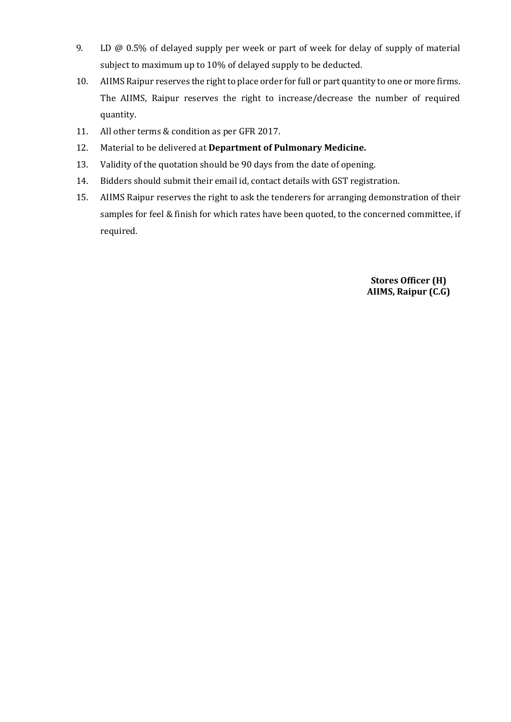- 9. LD @ 0.5% of delayed supply per week or part of week for delay of supply of material subject to maximum up to 10% of delayed supply to be deducted.
- 10. AIIMS Raipur reserves the right to place order for full or part quantity to one or more firms. The AIIMS, Raipur reserves the right to increase/decrease the number of required quantity.
- 11. All other terms & condition as per GFR 2017.
- 12. Material to be delivered at **Department of Pulmonary Medicine.**
- 13. Validity of the quotation should be 90 days from the date of opening.
- 14. Bidders should submit their email id, contact details with GST registration.
- 15. AIIMS Raipur reserves the right to ask the tenderers for arranging demonstration of their samples for feel & finish for which rates have been quoted, to the concerned committee, if required.

**Stores Officer (H) AIIMS, Raipur (C.G)**